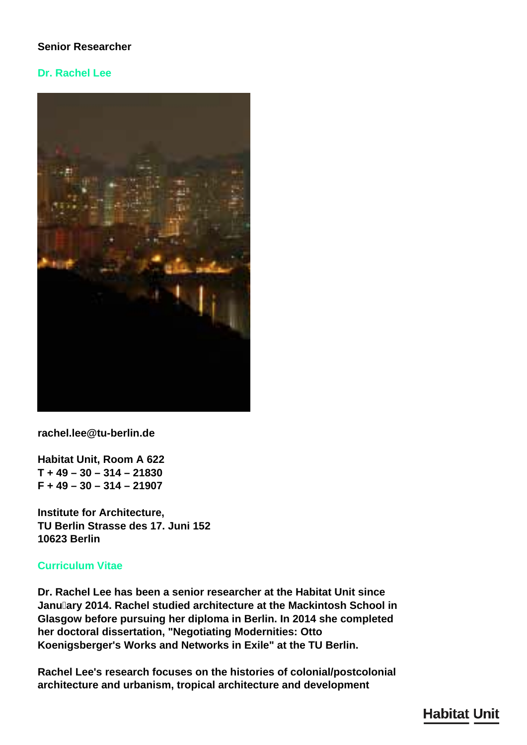# **Senior Researcher**

#### **Dr. Rachel Lee**



**rachel.lee@tu-berlin.de**

**Habitat Unit, Room A 622 T + 49 – 30 – 314 – 21830 F + 49 – 30 – 314 – 21907**

**Institute for Architecture, TU Berlin Strasse des 17. Juni 152 10623 Berlin**

#### **Curriculum Vitae**

**Dr. Rachel Lee has been a senior researcher at the Habitat Unit since** Janulary 2014. Rachel studied architecture at the Mackintosh School in **Glasgow before pursuing her diploma in Berlin. In 2014 she completed her doctoral dissertation, "Negotiating Modernities: Otto Koenigsberger's Works and Networks in Exile" at the TU Berlin.**

**Rachel Lee's research focuses on the histories of colonial/postcolonial architecture and urbanism, tropical architecture and development**

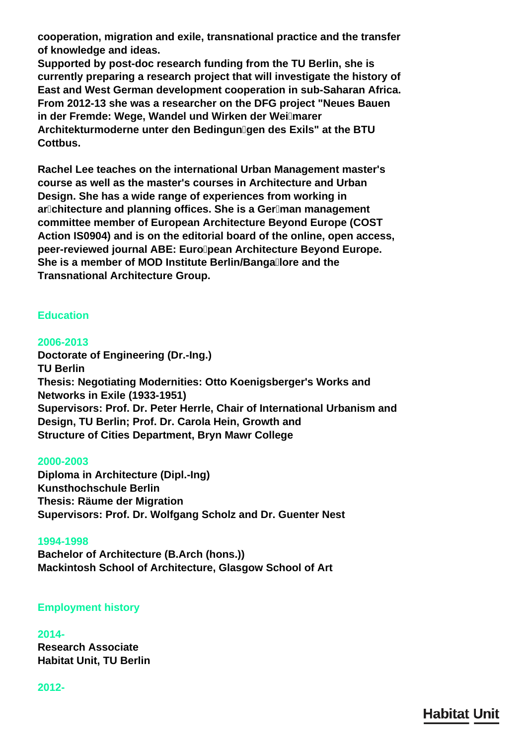**cooperation, migration and exile, transnational practice and the transfer of knowledge and ideas.**

**Supported by post-doc research funding from the TU Berlin, she is currently preparing a research project that will investigate the history of East and West German development cooperation in sub-Saharan Africa. From 2012-13 she was a researcher on the DFG project "Neues Bauen in der Fremde: Wege, Wandel und Wirken der Weimarer Architekturmoderne unter den Bedingungen des Exils" at the BTU Cottbus.**

**Rachel Lee teaches on the international Urban Management master's course as well as the master's courses in Architecture and Urban Design. She has a wide range of experiences from working in architecture and planning offices. She is a German management committee member of European Architecture Beyond Europe (COST Action IS0904) and is on the editorial board of the online, open access,** peer-reviewed journal ABE: Euro**npean Architecture Beyond Europe. She is a member of MOD Institute Berlin/Bangalore and the Transnational Architecture Group.**

# **Education**

## **2006-2013**

**Doctorate of Engineering (Dr.-Ing.) TU Berlin Thesis: Negotiating Modernities: Otto Koenigsberger's Works and Networks in Exile (1933-1951) Supervisors: Prof. Dr. Peter Herrle, Chair of International Urbanism and Design, TU Berlin; Prof. Dr. Carola Hein, Growth and Structure of Cities Department, Bryn Mawr College**

#### **2000-2003**

**Diploma in Architecture (Dipl.-Ing) Kunsthochschule Berlin Thesis: Räume der Migration Supervisors: Prof. Dr. Wolfgang Scholz and Dr. Guenter Nest**

#### **1994-1998**

**Bachelor of Architecture (B.Arch (hons.)) Mackintosh School of Architecture, Glasgow School of Art**

# **Employment history**

#### **2014-**

**Research Associate Habitat Unit, TU Berlin**

**2012-**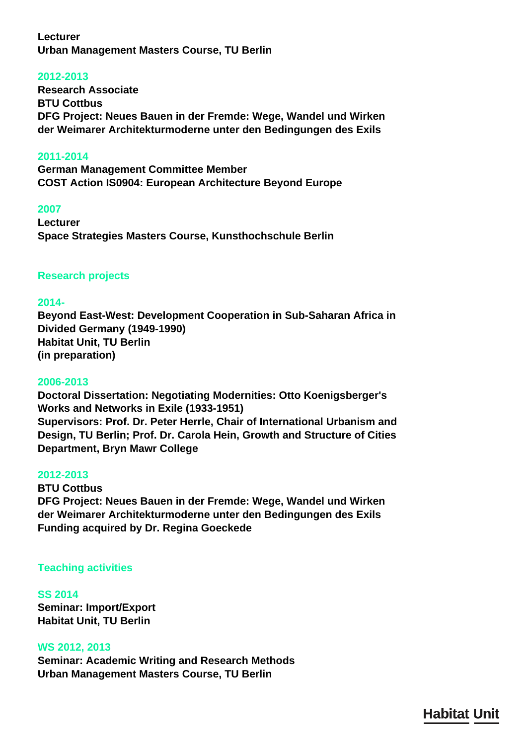# **Lecturer Urban Management Masters Course, TU Berlin**

**2012-2013 Research Associate BTU Cottbus DFG Project: Neues Bauen in der Fremde: Wege, Wandel und Wirken der Weimarer Architekturmoderne unter den Bedingungen des Exils**

## **2011-2014**

**German Management Committee Member COST Action IS0904: European Architecture Beyond Europe**

#### **2007**

**Lecturer Space Strategies Masters Course, Kunsthochschule Berlin**

## **Research projects**

#### **2014-**

**Beyond East-West: Development Cooperation in Sub-Saharan Africa in Divided Germany (1949-1990) Habitat Unit, TU Berlin (in preparation)**

#### **2006-2013**

**Doctoral Dissertation: Negotiating Modernities: Otto Koenigsberger's Works and Networks in Exile (1933-1951) Supervisors: Prof. Dr. Peter Herrle, Chair of International Urbanism and Design, TU Berlin; Prof. Dr. Carola Hein, Growth and Structure of Cities Department, Bryn Mawr College**

#### **2012-2013**

**BTU Cottbus DFG Project: Neues Bauen in der Fremde: Wege, Wandel und Wirken der Weimarer Architekturmoderne unter den Bedingungen des Exils Funding acquired by Dr. Regina Goeckede**

#### **Teaching activities**

**SS 2014 Seminar: Import/Export Habitat Unit, TU Berlin**

#### **WS 2012, 2013**

**Seminar: Academic Writing and Research Methods Urban Management Masters Course, TU Berlin**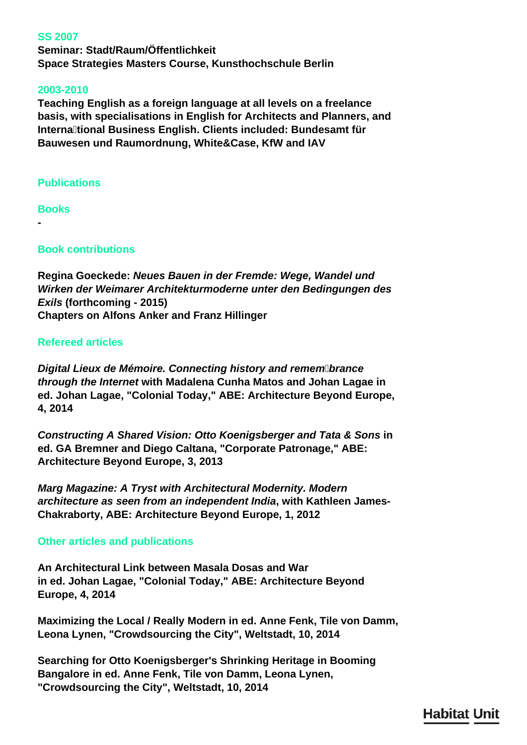#### **SS 2007**

**Seminar: Stadt/Raum/Öffentlichkeit Space Strategies Masters Course, Kunsthochschule Berlin**

#### **2003-2010**

**Teaching English as a foreign language at all levels on a freelance basis, with specialisations in English for Architects and Planners, and International Business English. Clients included: Bundesamt für Bauwesen und Raumordnung, White&Case, KfW and IAV**

#### **Publications**

**Books**

**-**

## **Book contributions**

**Regina Goeckede:** *Neues Bauen in der Fremde: Wege, Wandel und Wirken der Weimarer Architekturmoderne unter den Bedingungen des Exils* **(forthcoming - 2015) Chapters on Alfons Anker and Franz Hillinger**

#### **Refereed articles**

*Digital Lieux de Mémoire. Connecting history and remembrance through the Internet* **with Madalena Cunha Matos and Johan Lagae in ed. Johan Lagae, "Colonial Today," ABE: Architecture Beyond Europe, 4, 2014**

*Constructing A Shared Vision: Otto Koenigsberger and Tata & Sons* **in ed. GA Bremner and Diego Caltana, "Corporate Patronage," ABE: Architecture Beyond Europe, 3, 2013**

*Marg Magazine: A Tryst with Architectural Modernity. Modern architecture as seen from an independent India***, with Kathleen James-Chakraborty, ABE: Architecture Beyond Europe, 1, 2012**

#### **Other articles and publications**

**An Architectural Link between Masala Dosas and War in ed. Johan Lagae, "Colonial Today," ABE: Architecture Beyond Europe, 4, 2014**

**Maximizing the Local / Really Modern in ed. Anne Fenk, Tile von Damm, Leona Lynen, "Crowdsourcing the City", Weltstadt, 10, 2014**

**Searching for Otto Koenigsberger's Shrinking Heritage in Booming Bangalore in ed. Anne Fenk, Tile von Damm, Leona Lynen, "Crowdsourcing the City", Weltstadt, 10, 2014**

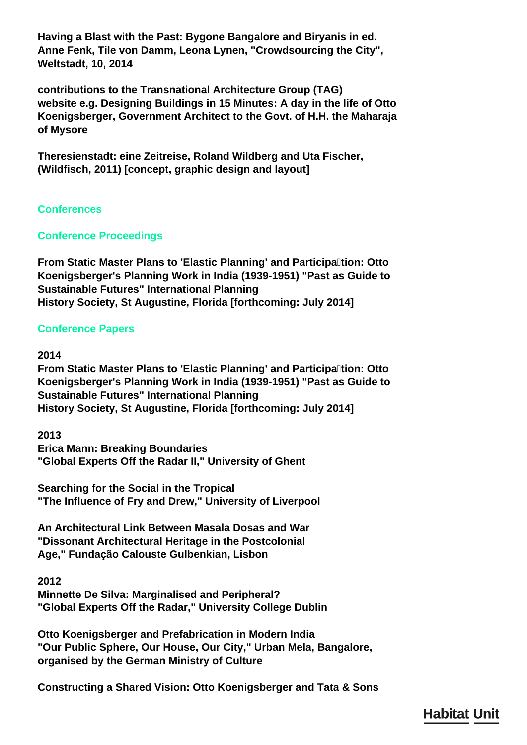**Having a Blast with the Past: Bygone Bangalore and Biryanis in ed. Anne Fenk, Tile von Damm, Leona Lynen, "Crowdsourcing the City", Weltstadt, 10, 2014**

**contributions to the Transnational Architecture Group (TAG) website e.g. Designing Buildings in 15 Minutes: A day in the life of Otto Koenigsberger, Government Architect to the Govt. of H.H. the Maharaja of Mysore**

**Theresienstadt: eine Zeitreise, Roland Wildberg and Uta Fischer, (Wildfisch, 2011) [concept, graphic design and layout]**

# **Conferences**

# **Conference Proceedings**

**From Static Master Plans to 'Elastic Planning' and Participalition: Otto Koenigsberger's Planning Work in India (1939-1951) "Past as Guide to Sustainable Futures" International Planning History Society, St Augustine, Florida [forthcoming: July 2014]**

# **Conference Papers**

## **2014**

**From Static Master Plans to 'Elastic Planning' and Participalltion: Otto Koenigsberger's Planning Work in India (1939-1951) "Past as Guide to Sustainable Futures" International Planning History Society, St Augustine, Florida [forthcoming: July 2014]**

# **2013**

**Erica Mann: Breaking Boundaries "Global Experts Off the Radar II," University of Ghent**

**Searching for the Social in the Tropical "The Influence of Fry and Drew," University of Liverpool**

**An Architectural Link Between Masala Dosas and War "Dissonant Architectural Heritage in the Postcolonial Age," Fundação Calouste Gulbenkian, Lisbon**

# **2012**

**Minnette De Silva: Marginalised and Peripheral? "Global Experts Off the Radar," University College Dublin**

**Otto Koenigsberger and Prefabrication in Modern India "Our Public Sphere, Our House, Our City," Urban Mela, Bangalore, organised by the German Ministry of Culture**

**Constructing a Shared Vision: Otto Koenigsberger and Tata & Sons**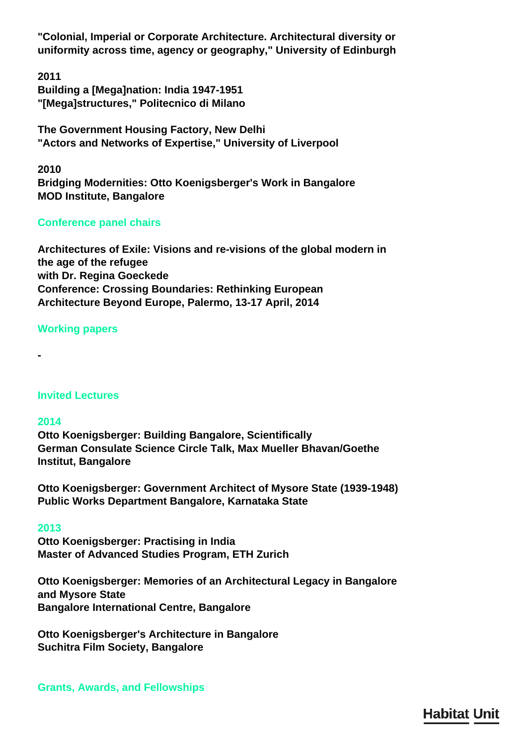**"Colonial, Imperial or Corporate Architecture. Architectural diversity or uniformity across time, agency or geography," University of Edinburgh**

**2011 Building a [Mega]nation: India 1947-1951 "[Mega]structures," Politecnico di Milano**

**The Government Housing Factory, New Delhi "Actors and Networks of Expertise," University of Liverpool**

**2010 Bridging Modernities: Otto Koenigsberger's Work in Bangalore MOD Institute, Bangalore**

## **Conference panel chairs**

**Architectures of Exile: Visions and re-visions of the global modern in the age of the refugee with Dr. Regina Goeckede Conference: Crossing Boundaries: Rethinking European Architecture Beyond Europe, Palermo, 13-17 April, 2014**

## **Working papers**

**Invited Lectures**

#### **2014**

**-**

**Otto Koenigsberger: Building Bangalore, Scientifically German Consulate Science Circle Talk, Max Mueller Bhavan/Goethe Institut, Bangalore**

**Otto Koenigsberger: Government Architect of Mysore State (1939-1948) Public Works Department Bangalore, Karnataka State**

#### **2013**

**Otto Koenigsberger: Practising in India Master of Advanced Studies Program, ETH Zurich**

**Otto Koenigsberger: Memories of an Architectural Legacy in Bangalore and Mysore State Bangalore International Centre, Bangalore**

**Otto Koenigsberger's Architecture in Bangalore Suchitra Film Society, Bangalore**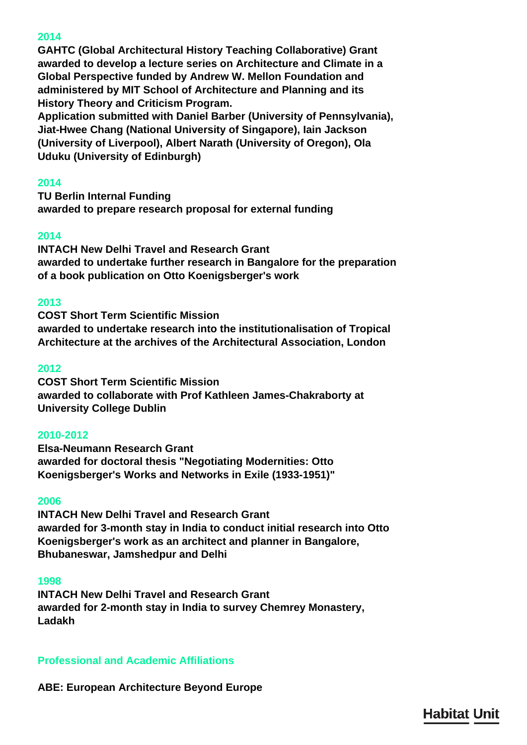## **2014**

**GAHTC (Global Architectural History Teaching Collaborative) Grant awarded to develop a lecture series on Architecture and Climate in a Global Perspective funded by Andrew W. Mellon Foundation and administered by MIT School of Architecture and Planning and its History Theory and Criticism Program.**

**Application submitted with Daniel Barber (University of Pennsylvania), Jiat-Hwee Chang (National University of Singapore), Iain Jackson (University of Liverpool), Albert Narath (University of Oregon), Ola Uduku (University of Edinburgh)**

## **2014**

**TU Berlin Internal Funding awarded to prepare research proposal for external funding**

## **2014**

**INTACH New Delhi Travel and Research Grant awarded to undertake further research in Bangalore for the preparation of a book publication on Otto Koenigsberger's work**

## **2013**

**COST Short Term Scientific Mission awarded to undertake research into the institutionalisation of Tropical Architecture at the archives of the Architectural Association, London**

### **2012**

**COST Short Term Scientific Mission awarded to collaborate with Prof Kathleen James-Chakraborty at University College Dublin**

# **2010-2012**

**Elsa-Neumann Research Grant awarded for doctoral thesis "Negotiating Modernities: Otto Koenigsberger's Works and Networks in Exile (1933-1951)"**

#### **2006**

**INTACH New Delhi Travel and Research Grant awarded for 3-month stay in India to conduct initial research into Otto Koenigsberger's work as an architect and planner in Bangalore, Bhubaneswar, Jamshedpur and Delhi**

#### **1998**

**INTACH New Delhi Travel and Research Grant awarded for 2-month stay in India to survey Chemrey Monastery, Ladakh**

# **Professional and Academic Affiliations**

**ABE: European Architecture Beyond Europe**